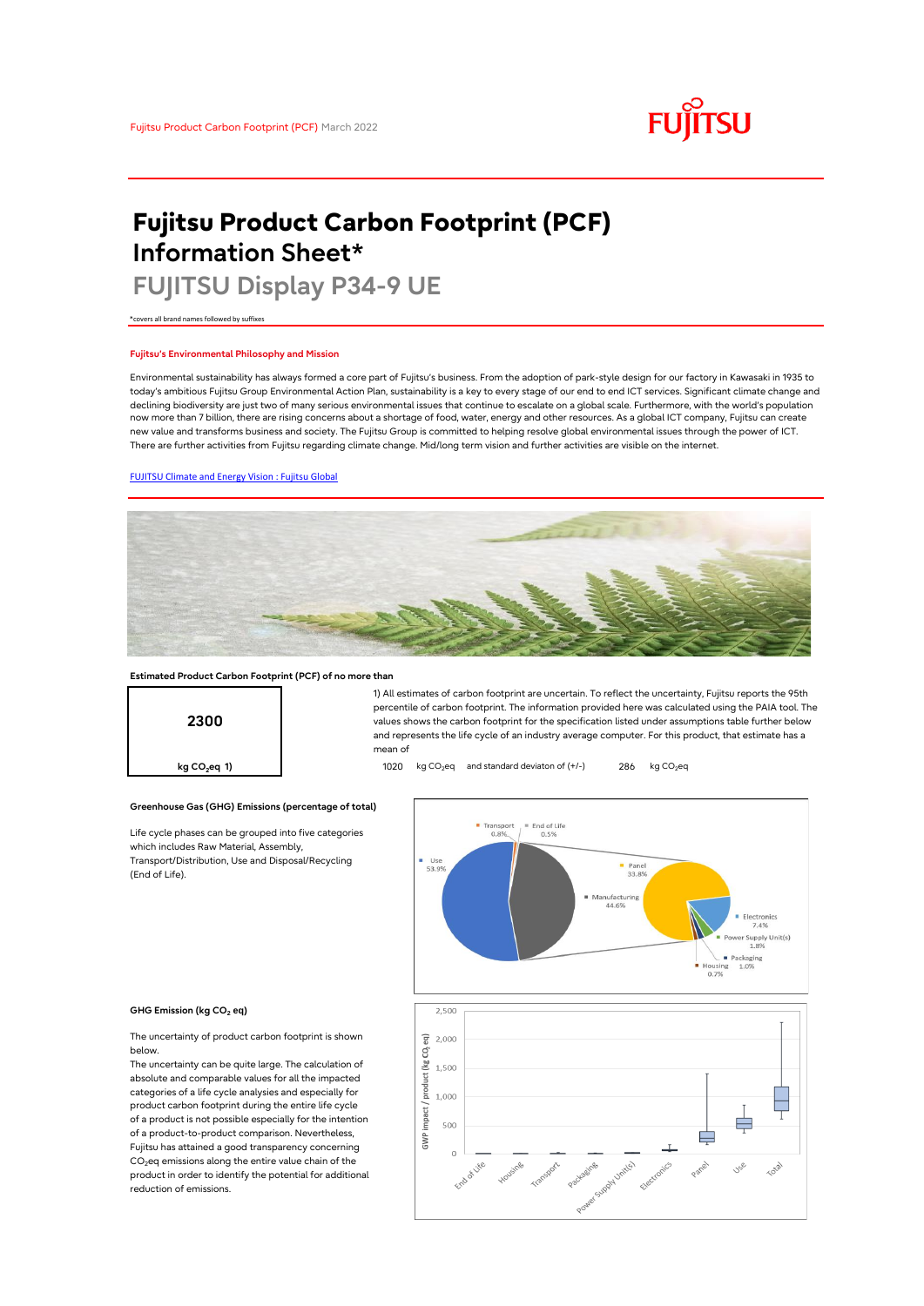# **FUJITSU**

# **Fujitsu Product Carbon Footprint (PCF) Information Sheet\***

# **FUJITSU Display P34-9 UE**

\*covers all brand names followed by suffixes

## **Fujitsu's Environmental Philosophy and Mission**

Environmental sustainability has always formed a core part of Fujitsu's business. From the adoption of park-style design for our factory in Kawasaki in 1935 to today's ambitious Fujitsu Group Environmental Action Plan, sustainability is a key to every stage of our end to end ICT services. Significant climate change and declining biodiversity are just two of many serious environmental issues that continue to escalate on a global scale. Furthermore, with the world's population now more than 7 billion, there are rising concerns about a shortage of food, water, energy and other resources. As a global ICT company, Fujitsu can create new value and transforms business and society. The Fujitsu Group is committed to helping resolve global environmental issues through the power of ICT. There are further activities from Fujitsu regarding climate change. Mid/long term vision and further activities are visible on the internet.

# [FUJITSU Climate and Energy Vision : Fujitsu Global](https://www.fujitsu.com/global/about/environment/climate-energy-vision/)



mean of

### **Estimated Product Carbon Footprint (PCF) of no more than**



**Greenhouse Gas (GHG) Emissions (percentage of total)**

Life cycle phases can be grouped into five categories which includes Raw Material, Assembly, Transport/Distribution, Use and Disposal/Recycling (End of Life).



1) All estimates of carbon footprint are uncertain. To reflect the uncertainty, Fujitsu reports the 95th percentile of carbon footprint. The information provided here was calculated using the PAIA tool. The values shows the carbon footprint for the specification listed under assumptions table further below and represents the life cycle of an industry average computer. For this product, that estimate has a

#### **GHG Emission (kg CO<sup>2</sup> eq)**

The uncertainty of product carbon footprint is shown below.

The uncertainty can be quite large. The calculation of absolute and comparable values for all the impacted categories of a life cycle analysies and especially for product carbon footprint during the entire life cycle of a product is not possible especially for the intention of a product-to-product comparison. Nevertheless, Fujitsu has attained a good transparency concerning  $CO<sub>2</sub>$ eq emissions along the entire value chain of the product in order to identify the potential for additional reduction of emissions.